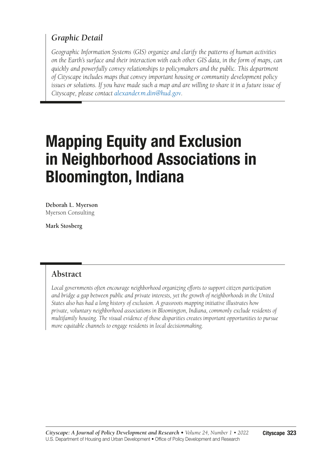### *Graphic Detail*

*Geographic Information Systems (GIS) organize and clarify the patterns of human activities on the Earth's surface and their interaction with each other. GIS data, in the form of maps, can quickly and powerfully convey relationships to policymakers and the public. This department of Cityscape includes maps that convey important housing or community development policy issues or solutions. If you have made such a map and are willing to share it in a future issue of Cityscape, please contact [alexander.m.din@hud.gov](mailto:alexander.m.din@hud.gov?subject=).*

# Mapping Equity and Exclusion in Neighborhood Associations in Bloomington, Indiana

**Deborah L. Myerson** Myerson Consulting

**Mark Stosberg**

### **Abstract**

*Local governments often encourage neighborhood organizing efforts to support citizen participation and bridge a gap between public and private interests, yet the growth of neighborhoods in the United States also has had a long history of exclusion. A grassroots mapping initiative illustrates how private, voluntary neighborhood associations in Bloomington, Indiana, commonly exclude residents of multifamily housing. The visual evidence of those disparities creates important opportunities to pursue more equitable channels to engage residents in local decisionmaking.*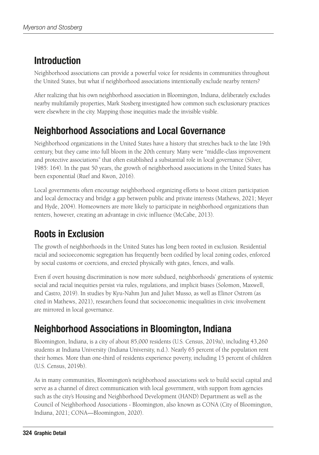# Introduction

Neighborhood associations can provide a powerful voice for residents in communities throughout the United States, but what if neighborhood associations intentionally exclude nearby renters?

After realizing that his own neighborhood association in Bloomington, Indiana, deliberately excludes nearby multifamily properties, Mark Stosberg investigated how common such exclusionary practices were elsewhere in the city. Mapping those inequities made the invisible visible.

## Neighborhood Associations and Local Governance

Neighborhood organizations in the United States have a history that stretches back to the late 19th century, but they came into full bloom in the 20th century. Many were "middle-class improvement and protective associations" that often established a substantial role in local governance (Silver, 1985: 164). In the past 50 years, the growth of neighborhood associations in the United States has been exponential (Ruef and Kwon, 2016).

Local governments often encourage neighborhood organizing efforts to boost citizen participation and local democracy and bridge a gap between public and private interests (Mathews, 2021; Meyer and Hyde, 2004). Homeowners are more likely to participate in neighborhood organizations than renters, however, creating an advantage in civic influence (McCabe, 2013).

# Roots in Exclusion

The growth of neighborhoods in the United States has long been rooted in exclusion. Residential racial and socioeconomic segregation has frequently been codified by local zoning codes, enforced by social customs or coercions, and erected physically with gates, fences, and walls.

Even if overt housing discrimination is now more subdued, neighborhoods' generations of systemic social and racial inequities persist via rules, regulations, and implicit biases (Solomon, Maxwell, and Castro, 2019). In studies by Kyu-Nahm Jun and Juliet Musso, as well as Elinor Ostrom (as cited in Mathews, 2021), researchers found that socioeconomic inequalities in civic involvement are mirrored in local governance.

# Neighborhood Associations in Bloomington, Indiana

Bloomington, Indiana, is a city of about 85,000 residents (U.S. Census, 2019a), including 43,260 students at Indiana University (Indiana University, n.d.). Nearly 65 percent of the population rent their homes. More than one-third of residents experience poverty, including 15 percent of children (U.S. Census, 2019b).

As in many communities, Bloomington's neighborhood associations seek to build social capital and serve as a channel of direct communication with local government, with support from agencies such as the city's Housing and Neighborhood Development (HAND) Department as well as the Council of Neighborhood Associations - Bloomington, also known as CONA (City of Bloomington, Indiana, 2021; CONA—Bloomington, 2020).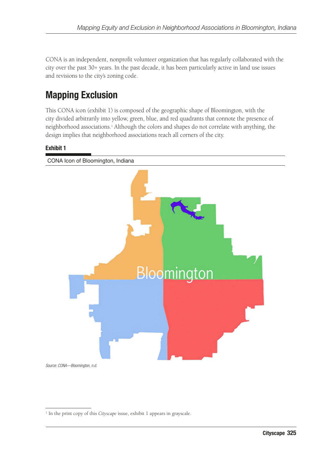CONA is an independent, nonprofit volunteer organization that has regularly collaborated with the city over the past 30+ years. In the past decade, it has been particularly active in land use issues and revisions to the city's zoning code.

# Mapping Exclusion

This CONA icon (exhibit 1) is composed of the geographic shape of Bloomington, with the city divided arbitrarily into yellow, green, blue, and red quadrants that connote the presence of neighborhood associations.1 Although the colors and shapes do not correlate with anything, the design implies that neighborhood associations reach all corners of the city.

#### Exhibit 1



*Source: CONA—Bloomington, n.d.*

<sup>&</sup>lt;sup>1</sup> In the print copy of this *Cityscape* issue, exhibit 1 appears in grayscale.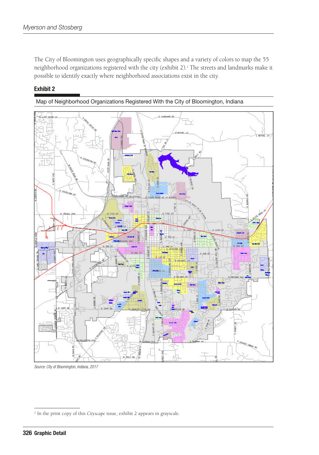The City of Bloomington uses geographically specific shapes and a variety of colors to map the 55 neighborhood organizations registered with the city (exhibit 2).<sup>2</sup> The streets and landmarks make it possible to identify exactly where neighborhood associations exist in the city.

#### Exhibit 2





*Source: City of Bloomington, Indiana, 2017*

<sup>2</sup> In the print copy of this *Cityscape* issue, exhibit 2 appears in grayscale.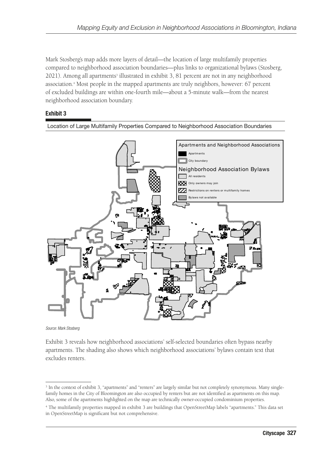Mark Stosberg's map adds more layers of detail—the location of large multifamily properties compared to neighborhood association boundaries—plus links to organizational bylaws (Stosberg, 2021). Among all apartments<sup>3</sup> illustrated in exhibit 3, 81 percent are not in any neighborhood association.4 Most people in the mapped apartments are truly neighbors, however: 67 percent of excluded buildings are within one-fourth mile—about a 5-minute walk—from the nearest neighborhood association boundary.

#### Exhibit 3



Location of Large Multifamily Properties Compared to Neighborhood Association Boundaries

*Source: Mark Stosberg*

Exhibit 3 reveals how neighborhood associations' self-selected boundaries often bypass nearby apartments. The shading also shows which neighborhood associations' bylaws contain text that excludes renters.

<sup>3</sup> In the context of exhibit 3, "apartments" and "renters" are largely similar but not completely synonymous. Many singlefamily homes in the City of Bloomington are also occupied by renters but are not identified as apartments on this map. Also, some of the apartments highlighted on the map are technically owner-occupied condominium properties.

<sup>4</sup> The multifamily properties mapped in exhibit 3 are buildings that OpenStreetMap labels "apartments." This data set in OpenStreetMap is significant but not comprehensive.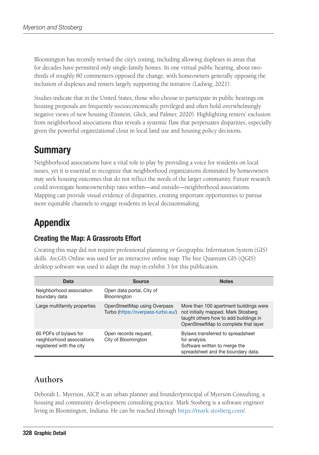Bloomington has recently revised the city's zoning, including allowing duplexes in areas that for decades have permitted only single-family homes. In one virtual public hearing, about twothirds of roughly 80 commenters opposed the change, with homeowners generally opposing the inclusion of duplexes and renters largely supporting the initiative (Ladwig, 2021).

Studies indicate that in the United States, those who choose to participate in public hearings on housing proposals are frequently socioeconomically privileged and often hold overwhelmingly negative views of new housing (Einstein, Glick, and Palmer, 2020). Highlighting renters' exclusion from neighborhood associations thus reveals a systemic flaw that perpetuates disparities, especially given the powerful organizational clout in local land use and housing policy decisions.

### **Summary**

Neighborhood associations have a vital role to play by providing a voice for residents on local issues, yet it is essential to recognize that neighborhood organizations dominated by homeowners may seek housing outcomes that do not reflect the needs of the larger community. Future research could investigate homeownership rates within—and outside—neighborhood associations. Mapping can provide visual evidence of disparities, creating important opportunities to pursue more equitable channels to engage residents in local decisionmaking.

## Appendix

### Creating the Map: A Grassroots Effort

Creating this map did not require professional planning or Geographic Information System (GIS) skills. ArcGIS Online was used for an interactive online map. The free Quantum GIS (QGIS) desktop software was used to adapt the map in exhibit 3 for this publication.

| Data                                                                           | Source                                                             | <b>Notes</b>                                                                                                                                                    |
|--------------------------------------------------------------------------------|--------------------------------------------------------------------|-----------------------------------------------------------------------------------------------------------------------------------------------------------------|
| Neighborhood association<br>boundary data                                      | Open data portal, City of<br>Bloomington                           |                                                                                                                                                                 |
| Large multifamily properties                                                   | OpenStreetMap using Overpass<br>Turbo (https://overpass-turbo.eu/) | More than 100 apartment buildings were<br>not initially mapped. Mark Stosberg<br>taught others how to add buildings in<br>OpenStreetMap to complete that layer. |
| 60 PDFs of bylaws for<br>neighborhood associations<br>registered with the city | Open records request,<br>City of Bloomington                       | Bylaws transferred to spreadsheet<br>for analysis.<br>Software written to merge the<br>spreadsheet and the boundary data.                                       |

### **Authors**

Deborah L. Myerson, AICP, is an urban planner and founder/principal of Myerson Consulting, a housing and community development consulting practice. Mark Stosberg is a software engineer living in Bloomington, Indiana. He can be reached through <https://mark.stosberg.com>/.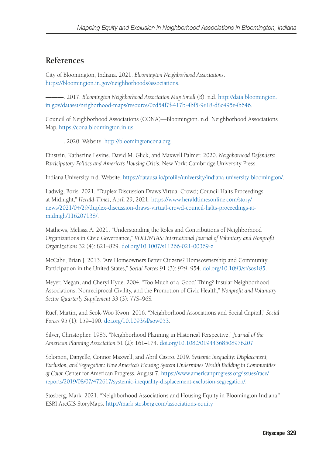### **References**

City of Bloomington, Indiana. 2021. *Bloomington Neighborhood Associations*. <https://bloomington.in.gov/neighborhoods/associations>.

———. 2017. *Bloomington Neighborhood Association Map Small* (B). n.d. [http://data.bloomington.](http://data.bloomington.in.gov/dataset/neigborhood-maps/resource/0cd54f7f-417b-4bf5-9e18-d8c495e4b646) [in.gov/dataset/neigborhood-maps/resource/0cd54f7f-417b-4bf5-9e18-d8c495e4b646](http://data.bloomington.in.gov/dataset/neigborhood-maps/resource/0cd54f7f-417b-4bf5-9e18-d8c495e4b646).

Council of Neighborhood Associations (CONA)—Bloomington. n.d. Neighborhood Associations Map.<https://cona.bloomington.in.us>.

———. 2020. Website. <http://bloomingtoncona.org>.

Einstein, Katherine Levine, David M. Glick, and Maxwell Palmer. 2020. *Neighborhood Defenders: Participatory Politics and America's Housing Crisis*. New York: Cambridge University Press.

Indiana University. n.d. Website. [https://datausa.io/profile/university/indiana-university-bloomington/.](https://datausa.io/profile/university/indiana-university-bloomington/)

Ladwig, Boris. 2021. "Duplex Discussion Draws Virtual Crowd; Council Halts Proceedings at Midnight," *Herald-Times*, April 29, 2021. [https://www.heraldtimesonline.com/story/](https://www.heraldtimesonline.com/story/news/2021/04/29/duplex-discussion-draws-virtual-crowd-council-halts-proceedings-at-midnigh/116207138/) [news/2021/04/29/duplex-discussion-draws-virtual-crowd-council-halts-proceedings-at](https://www.heraldtimesonline.com/story/news/2021/04/29/duplex-discussion-draws-virtual-crowd-council-halts-proceedings-at-midnigh/116207138/)[midnigh/116207138/.](https://www.heraldtimesonline.com/story/news/2021/04/29/duplex-discussion-draws-virtual-crowd-council-halts-proceedings-at-midnigh/116207138/)

Mathews, Melissa A. 2021. "Understanding the Roles and Contributions of Neighborhood Organizations in Civic Governance," *VOLUNTAS: International Journal of Voluntary and Nonprofit Organizations* 32 (4): 821–829. [doi.org/10.1007/s11266-021-00369-z](http://doi.org/10.1007/s11266-021-00369-z).

McCabe, Brian J. 2013. "Are Homeowners Better Citizens? Homeownership and Community Participation in the United States," *Social Forces* 91 (3): 929–954. [doi.org/10.1093/sf/sos185](http://doi.org/10.1093/sf/sos185).

Meyer, Megan, and Cheryl Hyde. 2004. "Too Much of a 'Good' Thing? Insular Neighborhood Associations, Nonreciprocal Civility, and the Promotion of Civic Health," *Nonprofit and Voluntary Sector Quarterly Supplement* 33 (3): 77S–96S.

Ruef, Martin, and Seok-Woo Kwon. 2016. "Neighborhood Associations and Social Capital," *Social Forces* 95 (1): 159–190. [doi.org/10.1093/sf/sow053.](http://doi.org/10.1093/sf/sow053)

Silver, Christopher. 1985. "Neighborhood Planning in Historical Perspective," *Journal of the American Planning Association* 51 (2): 161–174. [doi.org/10.1080/01944368508976207](http://doi.org/10.1080/01944368508976207).

Solomon, Danyelle, Connor Maxwell, and Abril Castro. 2019. *Systemic Inequality: Displacement, Exclusion, and Segregation: How America's Housing System Undermines Wealth Building in Communities of Color.* Center for American Progress. August 7. [https://www.americanprogress.org/issues/race/](https://www.americanprogress.org/issues/race/reports/2019/08/07/472617/systemic-inequality-displacement-exclusion-segregation/) [reports/2019/08/07/472617/systemic-inequality-displacement-exclusion-segregation/](https://www.americanprogress.org/issues/race/reports/2019/08/07/472617/systemic-inequality-displacement-exclusion-segregation/).

Stosberg, Mark. 2021. "Neighborhood Associations and Housing Equity in Bloomington Indiana." ESRI ArcGIS StoryMaps.<http://mark.stosberg.com/associations-equity>.